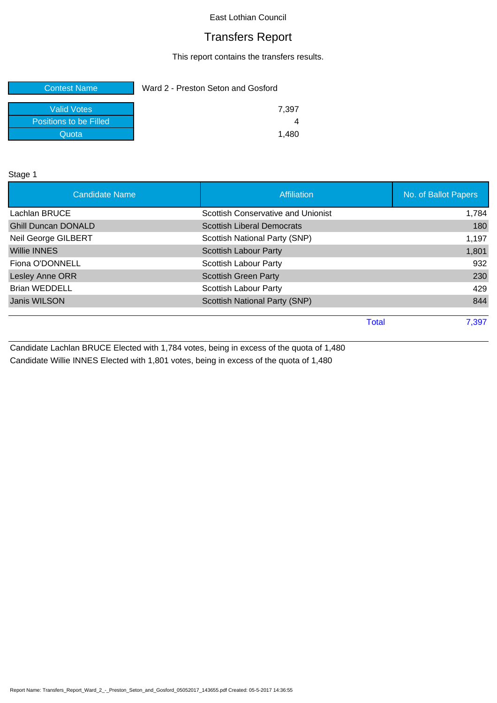# Transfers Report

This report contains the transfers results.

| <b>Contest Name</b>    | Ward 2 - Preston Seton and Gosford |  |
|------------------------|------------------------------------|--|
| Valid Votes            | 7.397                              |  |
| Positions to be Filled |                                    |  |
| Quota                  | 1.480                              |  |

Stage 1

| <b>Candidate Name</b>      | Affiliation                        | No. of Ballot Papers |
|----------------------------|------------------------------------|----------------------|
| Lachlan BRUCE              | Scottish Conservative and Unionist | 1,784                |
| <b>Ghill Duncan DONALD</b> | <b>Scottish Liberal Democrats</b>  | 180                  |
| <b>Neil George GILBERT</b> | Scottish National Party (SNP)      | 1,197                |
| <b>Willie INNES</b>        | <b>Scottish Labour Party</b>       | 1,801                |
| Fiona O'DONNELL            | <b>Scottish Labour Party</b>       | 932                  |
| Lesley Anne ORR            | <b>Scottish Green Party</b>        | 230                  |
| <b>Brian WEDDELL</b>       | <b>Scottish Labour Party</b>       | 429                  |
| Janis WILSON               | Scottish National Party (SNP)      | 844                  |
|                            |                                    |                      |
|                            | Total                              | 7,397                |
|                            |                                    |                      |

Candidate Lachlan BRUCE Elected with 1,784 votes, being in excess of the quota of 1,480 Candidate Willie INNES Elected with 1,801 votes, being in excess of the quota of 1,480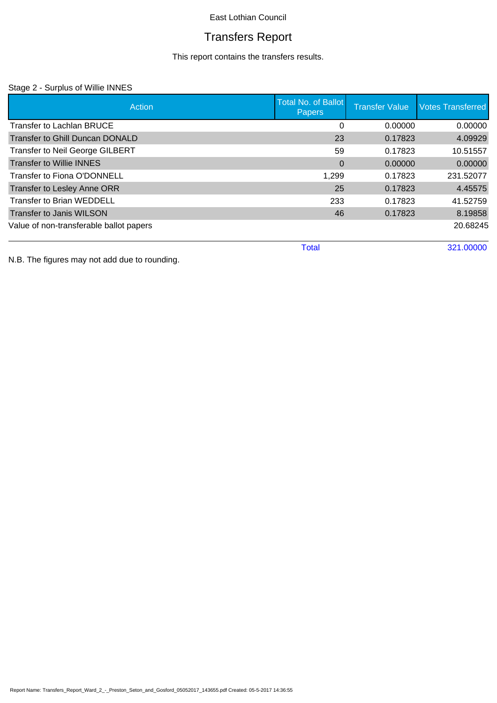# Transfers Report

This report contains the transfers results.

### Stage 2 - Surplus of Willie INNES

| Action                                  | <b>Total No. of Ballot</b><br><b>Papers</b> | <b>Transfer Value</b> | <b>Votes Transferred</b> |
|-----------------------------------------|---------------------------------------------|-----------------------|--------------------------|
| Transfer to Lachlan BRUCE               | 0                                           | 0.00000               | 0.00000                  |
| <b>Transfer to Ghill Duncan DONALD</b>  | 23                                          | 0.17823               | 4.09929                  |
| <b>Transfer to Neil George GILBERT</b>  | 59                                          | 0.17823               | 10.51557                 |
| <b>Transfer to Willie INNES</b>         | $\Omega$                                    | 0.00000               | 0.00000                  |
| Transfer to Fiona O'DONNELL             | 1,299                                       | 0.17823               | 231.52077                |
| <b>Transfer to Lesley Anne ORR</b>      | 25                                          | 0.17823               | 4.45575                  |
| <b>Transfer to Brian WEDDELL</b>        | 233                                         | 0.17823               | 41.52759                 |
| <b>Transfer to Janis WILSON</b>         | 46                                          | 0.17823               | 8.19858                  |
| Value of non-transferable ballot papers |                                             |                       | 20.68245                 |
|                                         | Total                                       |                       | 321.00000                |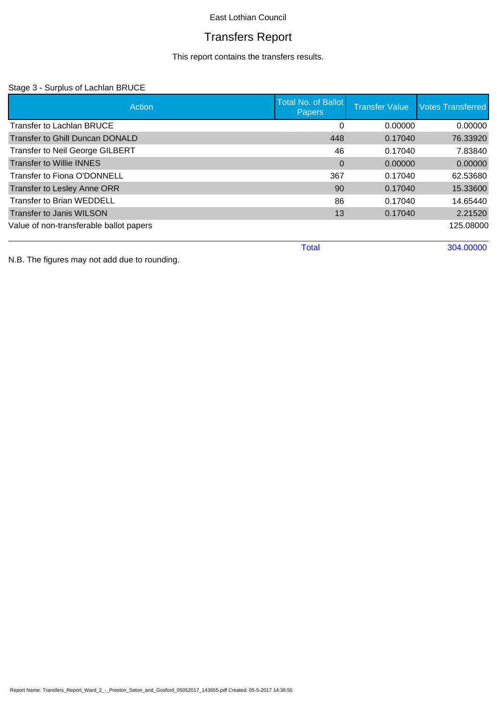# Transfers Report

This report contains the transfers results.

### Stage 3 - Surplus of Lachlan BRUCE

| Action                                  | <b>Total No. of Ballot</b><br>Papers | <b>Transfer Value</b> | <b>Votes Transferred</b> |
|-----------------------------------------|--------------------------------------|-----------------------|--------------------------|
| <b>Transfer to Lachlan BRUCE</b>        | 0                                    | 0.00000               | 0.00000                  |
| Transfer to Ghill Duncan DONALD         | 448                                  | 0.17040               | 76.33920                 |
| <b>Transfer to Neil George GILBERT</b>  | 46                                   | 0.17040               | 7.83840                  |
| <b>Transfer to Willie INNES</b>         | $\Omega$                             | 0.00000               | 0.00000                  |
| Transfer to Fiona O'DONNELL             | 367                                  | 0.17040               | 62.53680                 |
| Transfer to Lesley Anne ORR             | 90                                   | 0.17040               | 15.33600                 |
| <b>Transfer to Brian WEDDELL</b>        | 86                                   | 0.17040               | 14.65440                 |
| <b>Transfer to Janis WILSON</b>         | 13                                   | 0.17040               | 2.21520                  |
| Value of non-transferable ballot papers |                                      |                       | 125.08000                |
|                                         | <b>Total</b>                         |                       | 304.00000                |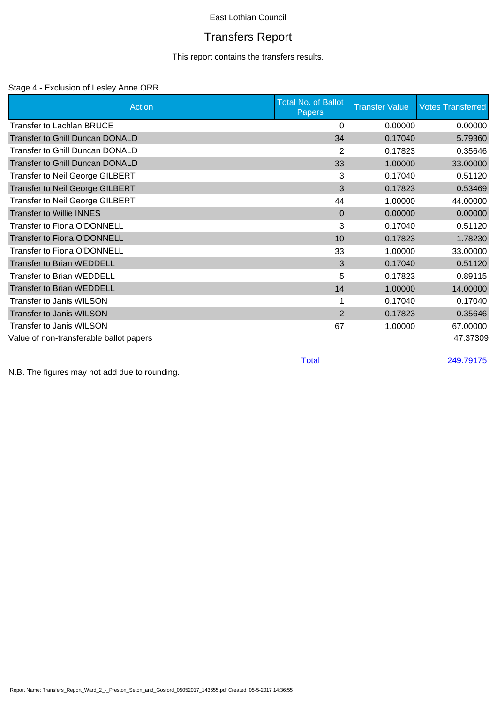# Transfers Report

This report contains the transfers results.

#### Stage 4 - Exclusion of Lesley Anne ORR

| <b>Action</b>                           | <b>Total No. of Ballot</b><br><b>Papers</b> | <b>Transfer Value</b> | <b>Votes Transferred</b> |
|-----------------------------------------|---------------------------------------------|-----------------------|--------------------------|
| <b>Transfer to Lachlan BRUCE</b>        | 0                                           | 0.00000               | 0.00000                  |
| <b>Transfer to Ghill Duncan DONALD</b>  | 34                                          | 0.17040               | 5.79360                  |
| Transfer to Ghill Duncan DONALD         | 2                                           | 0.17823               | 0.35646                  |
| <b>Transfer to Ghill Duncan DONALD</b>  | 33                                          | 1.00000               | 33.00000                 |
| Transfer to Neil George GILBERT         | 3                                           | 0.17040               | 0.51120                  |
| <b>Transfer to Neil George GILBERT</b>  | 3                                           | 0.17823               | 0.53469                  |
| Transfer to Neil George GILBERT         | 44                                          | 1.00000               | 44.00000                 |
| <b>Transfer to Willie INNES</b>         | $\mathbf{0}$                                | 0.00000               | 0.00000                  |
| <b>Transfer to Fiona O'DONNELL</b>      | 3                                           | 0.17040               | 0.51120                  |
| Transfer to Fiona O'DONNELL             | 10                                          | 0.17823               | 1.78230                  |
| Transfer to Fiona O'DONNELL             | 33                                          | 1.00000               | 33.00000                 |
| <b>Transfer to Brian WEDDELL</b>        | 3                                           | 0.17040               | 0.51120                  |
| <b>Transfer to Brian WEDDELL</b>        | 5                                           | 0.17823               | 0.89115                  |
| <b>Transfer to Brian WEDDELL</b>        | 14                                          | 1.00000               | 14.00000                 |
| Transfer to Janis WILSON                |                                             | 0.17040               | 0.17040                  |
| <b>Transfer to Janis WILSON</b>         | $\overline{2}$                              | 0.17823               | 0.35646                  |
| Transfer to Janis WILSON                | 67                                          | 1.00000               | 67.00000                 |
| Value of non-transferable ballot papers |                                             |                       | 47.37309                 |
|                                         | <b>Total</b>                                |                       | 249.79175                |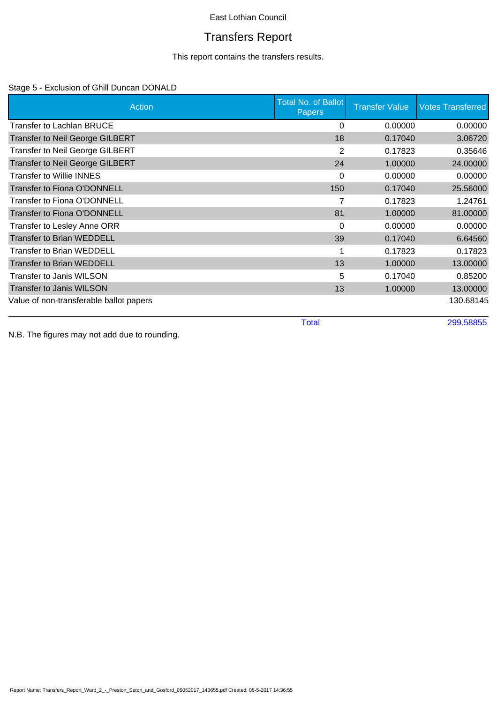# Transfers Report

This report contains the transfers results.

### Stage 5 - Exclusion of Ghill Duncan DONALD

| Action                                  | <b>Total No. of Ballot</b><br><b>Papers</b> | <b>Transfer Value</b> | <b>Votes Transferred</b> |
|-----------------------------------------|---------------------------------------------|-----------------------|--------------------------|
| Transfer to Lachlan BRUCE               | $\Omega$                                    | 0.00000               | 0.00000                  |
| <b>Transfer to Neil George GILBERT</b>  | 18                                          | 0.17040               | 3.06720                  |
| <b>Transfer to Neil George GILBERT</b>  | 2                                           | 0.17823               | 0.35646                  |
| <b>Transfer to Neil George GILBERT</b>  | 24                                          | 1.00000               | 24.00000                 |
| Transfer to Willie INNES                | $\Omega$                                    | 0.00000               | 0.00000                  |
| <b>Transfer to Fiona O'DONNELL</b>      | 150                                         | 0.17040               | 25.56000                 |
| Transfer to Fiona O'DONNELL             |                                             | 0.17823               | 1.24761                  |
| <b>Transfer to Fiona O'DONNELL</b>      | 81                                          | 1.00000               | 81.00000                 |
| Transfer to Lesley Anne ORR             | $\Omega$                                    | 0.00000               | 0.00000                  |
| <b>Transfer to Brian WEDDELL</b>        | 39                                          | 0.17040               | 6.64560                  |
| Transfer to Brian WEDDELL               |                                             | 0.17823               | 0.17823                  |
| <b>Transfer to Brian WEDDELL</b>        | 13                                          | 1.00000               | 13.00000                 |
| Transfer to Janis WILSON                | 5                                           | 0.17040               | 0.85200                  |
| <b>Transfer to Janis WILSON</b>         | 13                                          | 1.00000               | 13.00000                 |
| Value of non-transferable ballot papers |                                             |                       | 130.68145                |
|                                         | <b>Total</b>                                |                       | 299.58855                |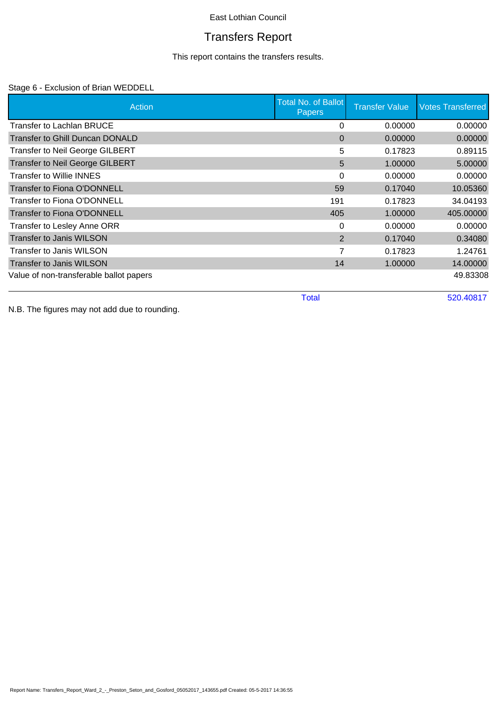# Transfers Report

This report contains the transfers results.

### Stage 6 - Exclusion of Brian WEDDELL

| Action                                  | <b>Total No. of Ballot</b><br><b>Papers</b> | <b>Transfer Value</b>     | <b>Votes Transferred</b> |
|-----------------------------------------|---------------------------------------------|---------------------------|--------------------------|
| <b>Transfer to Lachlan BRUCE</b>        |                                             | 0.00000<br>0              | 0.00000                  |
| Transfer to Ghill Duncan DONALD         |                                             | 0.00000<br>$\Omega$       | 0.00000                  |
| <b>Transfer to Neil George GILBERT</b>  |                                             | 5<br>0.17823              | 0.89115                  |
| <b>Transfer to Neil George GILBERT</b>  |                                             | 5<br>1.00000              | 5.00000                  |
| <b>Transfer to Willie INNES</b>         |                                             | $\Omega$<br>0.00000       | 0.00000                  |
| Transfer to Fiona O'DONNELL             | 59                                          | 0.17040                   | 10.05360                 |
| Transfer to Fiona O'DONNELL             | 191                                         | 0.17823                   | 34.04193                 |
| <b>Transfer to Fiona O'DONNELL</b>      | 405                                         | 1.00000                   | 405.00000                |
| Transfer to Lesley Anne ORR             |                                             | 0.00000<br>0              | 0.00000                  |
| <b>Transfer to Janis WILSON</b>         |                                             | $\overline{2}$<br>0.17040 | 0.34080                  |
| Transfer to Janis WILSON                |                                             | 7<br>0.17823              | 1.24761                  |
| <b>Transfer to Janis WILSON</b>         | 14                                          | 1.00000                   | 14.00000                 |
| Value of non-transferable ballot papers |                                             |                           | 49.83308                 |
|                                         | <b>Total</b>                                |                           | 520.40817                |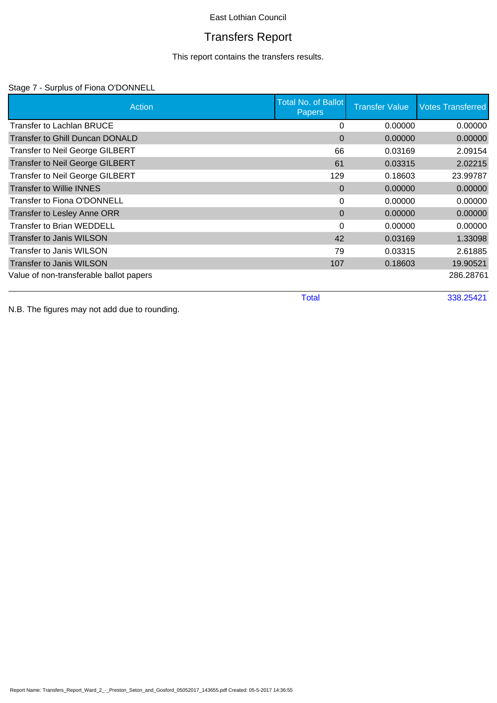# Transfers Report

This report contains the transfers results.

### Stage 7 - Surplus of Fiona O'DONNELL

| Action                                  | <b>Total No. of Ballot</b><br><b>Papers</b> | <b>Transfer Value</b> | <b>Votes Transferred</b> |
|-----------------------------------------|---------------------------------------------|-----------------------|--------------------------|
| Transfer to Lachlan BRUCE               | 0                                           | 0.00000               | 0.00000                  |
| <b>Transfer to Ghill Duncan DONALD</b>  | $\Omega$                                    | 0.00000               | 0.00000                  |
| <b>Transfer to Neil George GILBERT</b>  | 66                                          | 0.03169               | 2.09154                  |
| <b>Transfer to Neil George GILBERT</b>  | 61                                          | 0.03315               | 2.02215                  |
| <b>Transfer to Neil George GILBERT</b>  | 129                                         | 0.18603               | 23.99787                 |
| <b>Transfer to Willie INNES</b>         | $\Omega$                                    | 0.00000               | 0.00000                  |
| Transfer to Fiona O'DONNELL             | 0                                           | 0.00000               | 0.00000                  |
| Transfer to Lesley Anne ORR             | $\Omega$                                    | 0.00000               | 0.00000                  |
| <b>Transfer to Brian WEDDELL</b>        | $\Omega$                                    | 0.00000               | 0.00000                  |
| <b>Transfer to Janis WILSON</b>         | 42                                          | 0.03169               | 1.33098                  |
| Transfer to Janis WILSON                | 79                                          | 0.03315               | 2.61885                  |
| <b>Transfer to Janis WILSON</b>         | 107                                         | 0.18603               | 19.90521                 |
| Value of non-transferable ballot papers |                                             |                       | 286.28761                |
|                                         | <b>Total</b>                                |                       | 338.25421                |